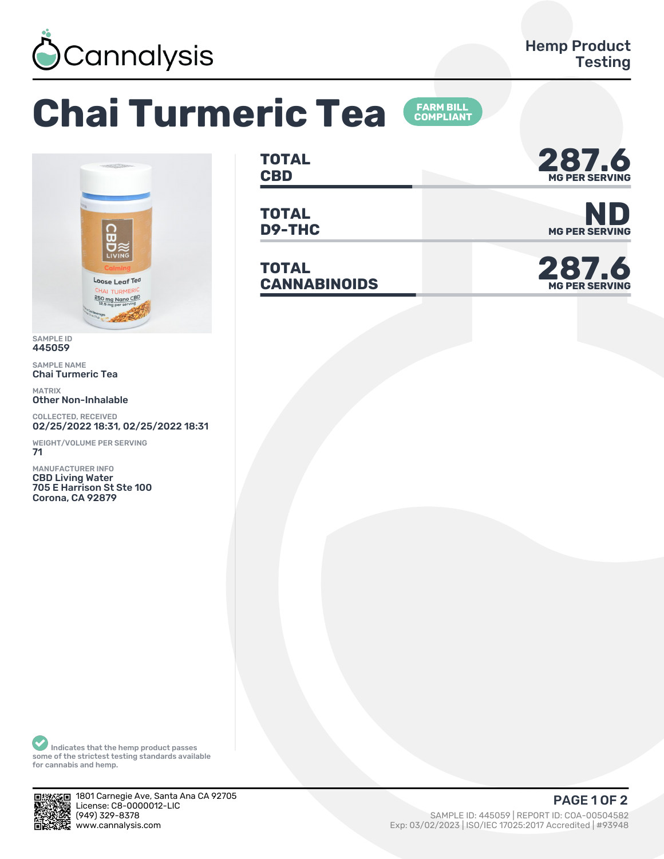

## **Chai Turmeric Tea FARM BILL<br>COMPLIANT**



SAMPLE ID 445059

SAMPLE NAME Chai Turmeric Tea

MATRIX Other Non-Inhalable

COLLECTED, RECEIVED 02/25/2022 18:31, 02/25/2022 18:31

WEIGHT/VOLUME PER SERVING 71

MANUFACTURER INFO CBD Living Water 705 E Harrison St Ste 100 Corona, CA 92879

**TOTAL** TOTAL **287.6**<br>CBD MGPER SERVING

**TOTAL**

**TOTAL** TOTAL<br>CANNABINOIDS



**D9-THC** MG PER SERVING



Indicates that the hemp product passes some of the strictest testing standards available for cannabis and hemp.



1801 Carnegie Ave, Santa Ana CA 92705 License: C8-0000012-LIC<br>(949) 329-8378 (ȅȀȅ) ǿǾȅ-ȄǿȃȄ SAMPLE ID: ȀȀȁǼȁȅ | REPORT ID: COA-ǼǼȁǼȀȁȄǾ